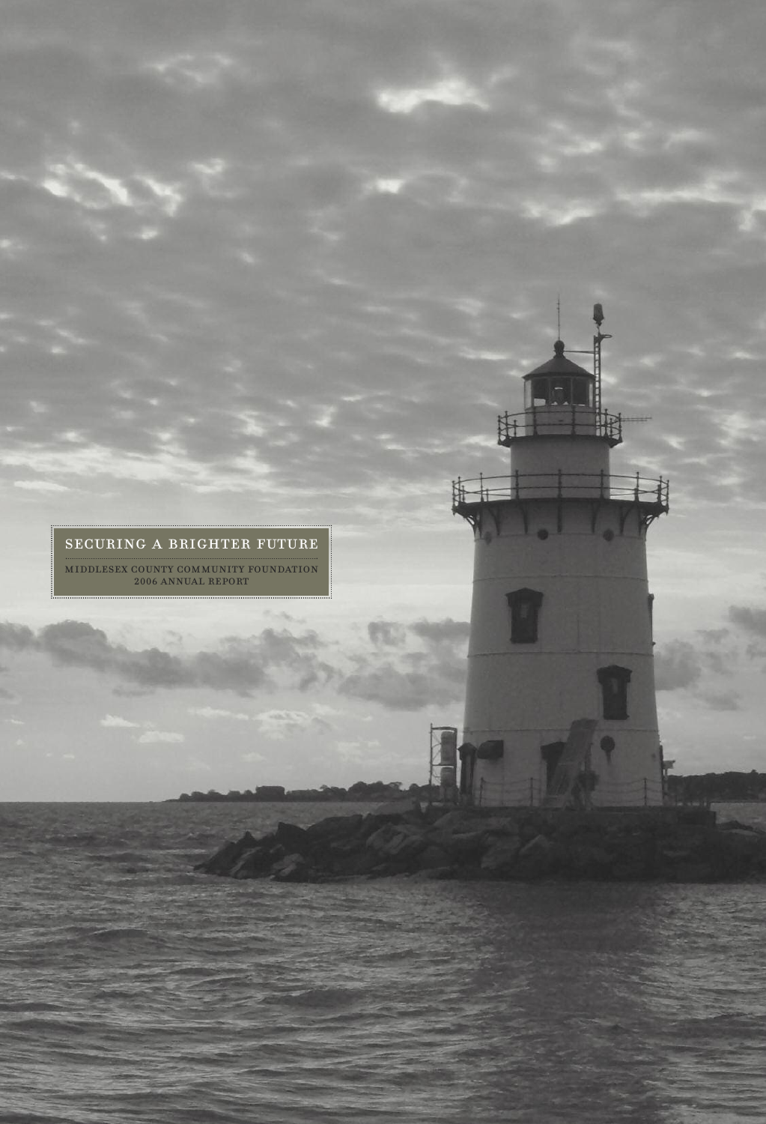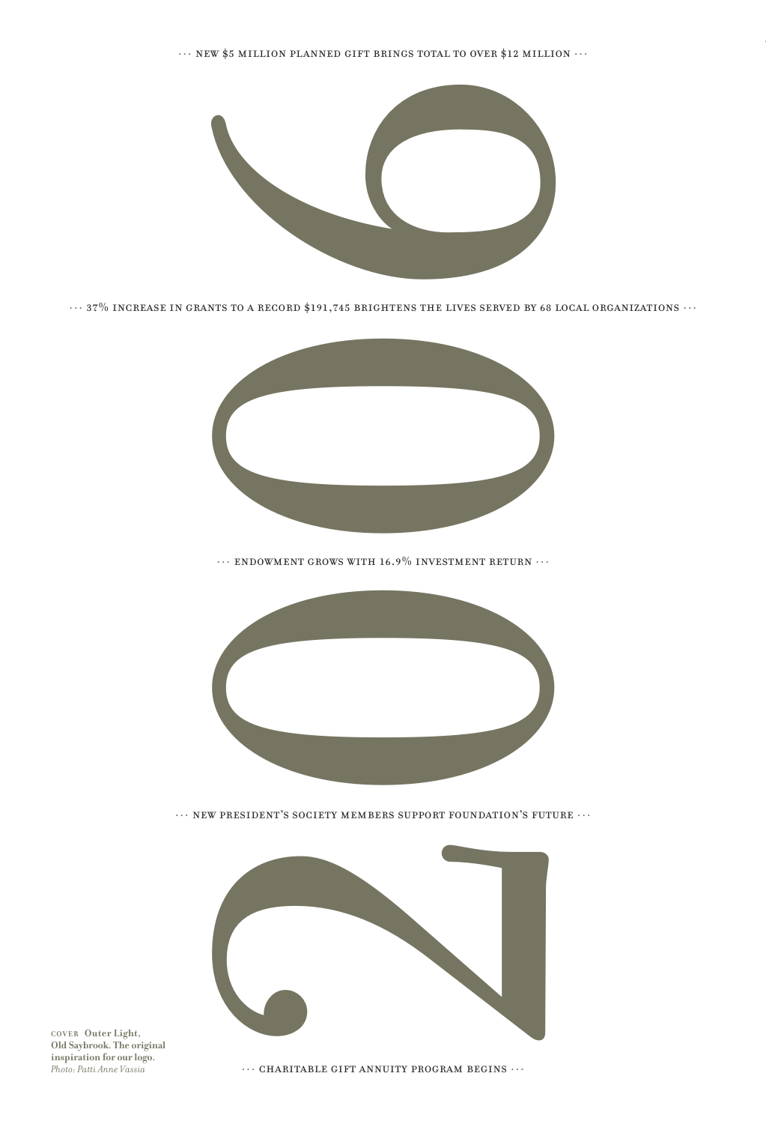$\cdots$ NEW \$5 MILLION PLANNED GIFT BRINGS TOTAL TO OVER \$12 MILLION  $\cdots$ 



 $\cdots$  37% increase in grants to a record \$191,745 brightens the lives served by 68 local organizations  $\cdots$ 



 $\cdots$  endowment grows with 16.9% investment return  $\cdots$ 



 $\cdots$  new president's society members support foundation's future  $\cdots$ 



**COVER Outer Light, Old Saybrook. The original inspiration for our logo.** *Photo: Patti Anne Vassia*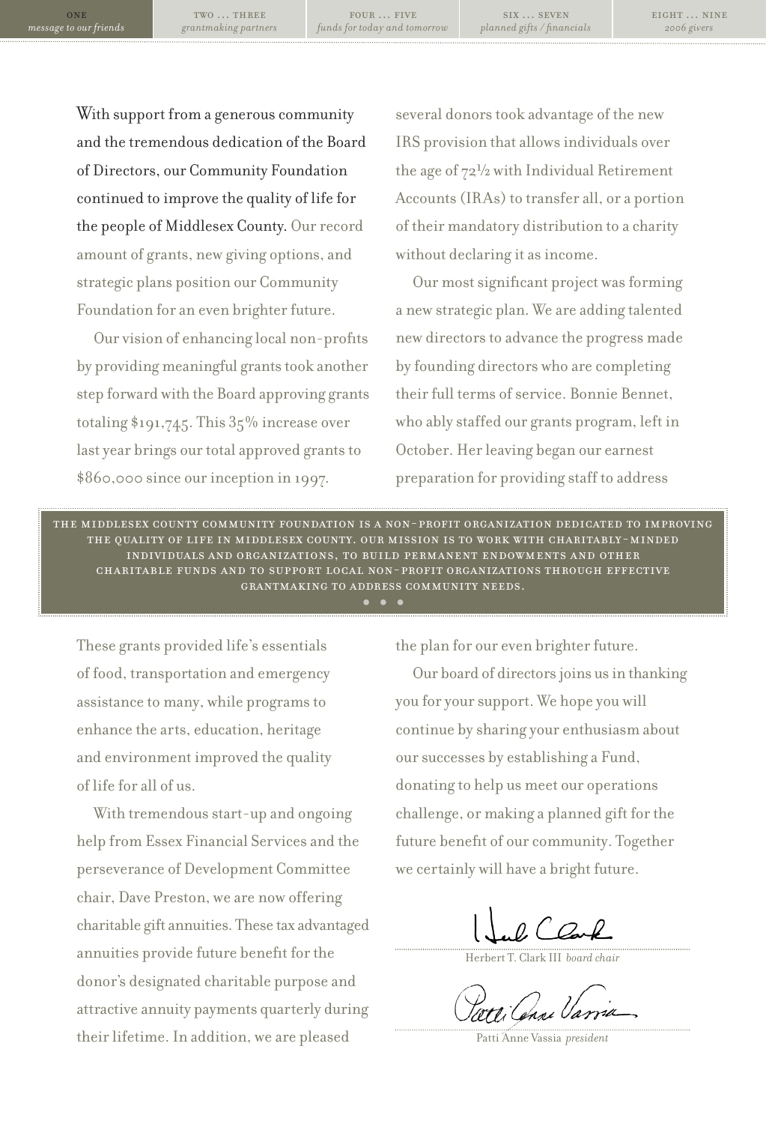four … five *funds for today and tomorrow*

With support from a generous community and the tremendous dedication of the Board of Directors, our Community Foundation continued to improve the quality of life for the people of Middlesex County. Our record amount of grants, new giving options, and strategic plans position our Community Foundation for an even brighter future.

Our vision of enhancing local non-profits by providing meaningful grants took another step forward with the Board approving grants totaling  $\text{\$191,745}$ . This  $35\%$  increase over last year brings our total approved grants to \$860,000 since ourinception in 1997.

several donors took advantage of the new IRS provision that allowsindividuals over the age of 72½ with Individual Retirement Accounts (IRAs) to transfer all, or a portion of their mandatory distribution to a charity without declaring it as income.

Our most significant project was forming a new strategic plan. We are adding talented new directors to advance the progress made by founding directors who are completing their full terms of service. Bonnie Bennet, who ably staffed our grants program, left in October. Herleaving began our earnest preparation for providing staff to address

the middlesex county community foundation is a non-profit organization dedicated to improving the quality of life in middlesex county. our mission is to work with charitably-minded individuals and organizations, to build permanent endowments and other INDIVIDUALS AND ORGANIZATIONS, TO BUILD PERMANENT ENDOWMENTS AND OTHER<br>CHARITABLE FUNDS AND TO SUPPORT LOCAL NON-PROFIT ORGANIZATIONS THROUGH EFFECTIVE<br>GRANTMAKING TO ADDRESS COMMUNITY NEEDS.<br>• GRANTMAKING TO ADDRESS COMMUNITY NEEDS.

These grants provided life's essentials of food, transportation and emergency assistance to many, while programsto enhance the arts, education, heritage and environment improved the quality of life for all of us.

With tremendous start-up and ongoing help from Essex Financial Services and the perseverance of Development Committee chair, Dave Preston, we are now offering charitable gift annuities. These tax advantaged annuities provide future benefit forthe donor's designated charitable purpose and attractive annuity payments quarterly during their lifetime. In addition, we are pleased

the plan for our even brighter future.

Our board of directors joins us in thanking you for yoursupport. We hope you will continue by sharing your enthusiasm about our successes by establishing a Fund, donating to help us meet our operations challenge, or making a planned gift forthe future benefit of our community. Together we certainly will have a bright future.

Herbert T. Clark III *board chair*

Patti Anne Vassia *president*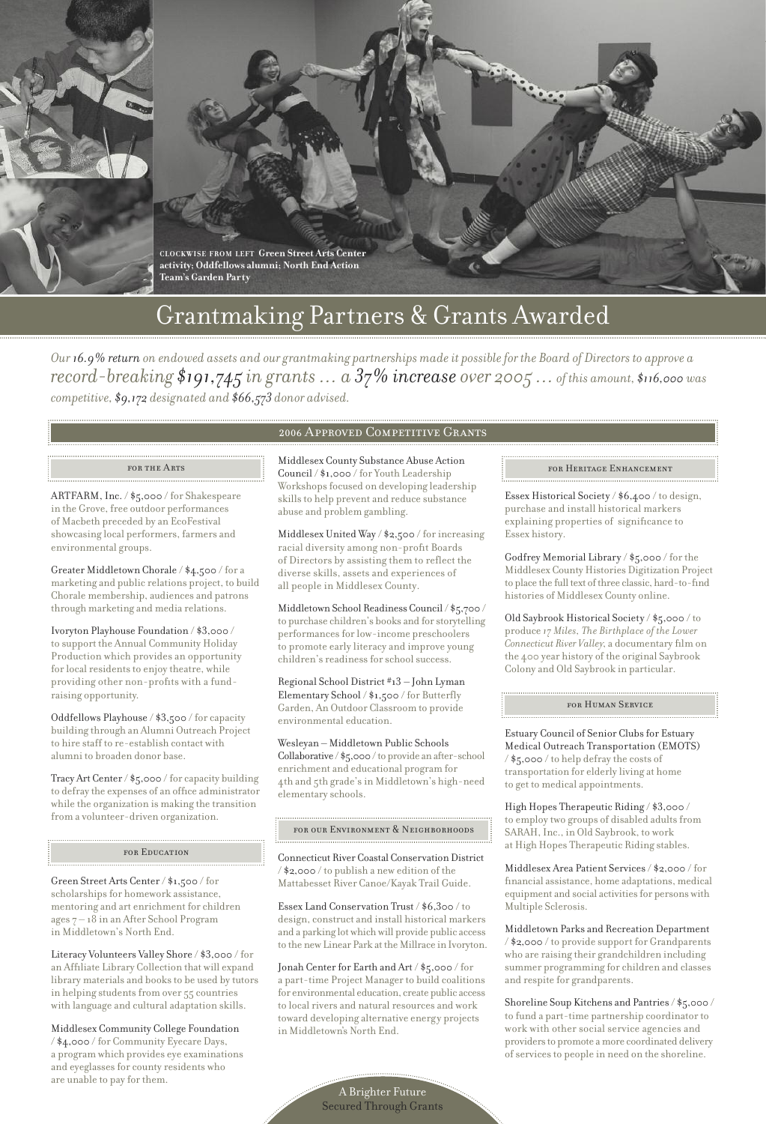



# Grantmaking Partners & Grants Awarded

Our 16.9% return on endowed assets and our grantmaking partnerships made it possible for the Board of Directors to approve a *record-breaking \$191,745 in grants … a 37% increase over 2005 …of this amount, \$116,000 was competitive, \$9,172 designated and \$66,573 donor advised.*

#### for the Arts

ARTFARM, Inc. / \$5,000 / for Shakespeare in the Grove, free outdoor performances of Macbeth preceded by an EcoFestival showcasing local performers, farmers and environmental groups.

Greater Middletown Chorale / \$4,500 / for a marketing and public relations project, to build Chorale membership, audiences and patrons through marketing and media relations.

Ivoryton Playhouse Foundation / \$3,000 / to support the Annual Community Holiday Production which provides an opportunity for local residents to enjoy theatre, while providing other non-profits with a fundraising opportunity.

Oddfellows Playhouse / \$3,500 / for capacity building through an Alumni Outreach Project to hire staff to re-establish contact with alumni to broaden donor base.

Tracy Art Center / \$5,000 / for capacity building to defray the expenses of an office administrator while the organization is making the transition from a volunteer-driven organization.

#### for Education

Green Street Arts Center/ \$1,500 / for scholarships for homework assistance, mentoring and art enrichment for children ages 7 – 18 in an After School Program in Middletown's North End.

Literacy Volunteers Valley Shore / \$3,000 / for an Affiliate Library Collection that will expand library materials and booksto be used by tutors in helping students from over 55 countries with language and cultural adaptation skills.

Middlesex Community College Foundation / \$4,000 / for Community Eyecare Days, a program which provides eye examinations and eyeglassesfor county residents who are unable to pay for them.

#### 2006 Approved Competitive Grants

Middlesex County Substance Abuse Action Council / \$1,000 /for Youth Leadership Workshops focused on developing leadership skills to help prevent and reduce substance abuse and problem gambling.

Middlesex United Way / \$2,500 / for increasing racial diversity among non-profit Boards of Directors by assisting them to reflect the diverse skills, assets and experiences of all people in Middlesex County.

Middletown School Readiness Council/ \$5,700 / to purchase children's books and forstorytelling performances for low-income preschoolers to promote early literacy and improve young children's readiness for school success.

Regional School District #13 – John Lyman Elementary School / \$1,500 / for Butterfly Garden, An Outdoor Classroom to provide environmental education.

Wesleyan – Middletown Public Schools Collaborative / \$5,000/to provide anafter-school enrichment and educational program for 4th and 5th grade'sin Middletown's high-need elementary schools.

#### for our Environment & Neighborhoods

Connecticut River Coastal Conservation District  $\frac{1}{2}$ ,000 / to publish a new edition of the Mattabesset River Canoe/Kayak Trail Guide.

Essex Land Conservation Trust / \$6,300 / to design, construct and install historical markers and a parking lot which will provide public access to the new Linear Park at the Millrace in Ivoryton.

Jonah Center for Earth and Art / \$5,000 / for a part-time Project Managerto build coalitions for environmental education, create public access to local rivers and natural resources and work toward developing alternative energy projects in Middletown's North End.

#### for Heritage Enhancement

Essex Historical Society / \$6,400 / to design, purchase and install historical markers explaining properties of significance to Essex history.

Godfrey Memorial Library / \$5,000 / forthe Middlesex County Histories Digitization Project to place the full text of three classic, hard-to-find histories of Middlesex County online.

Old Saybrook Historical Society / \$5,000 / to produce *17 Miles, The Birthplace of the Lower Connecticut River Valley*, a documentary film on the 400 year history of the original Saybrook Colony and Old Saybrook in particular.

#### for Human Service

Estuary Council of Senior Clubs for Estuary Medical Outreach Transportation (EMOTS) / \$5,000 / to help defray the costs of transportation for elderly living at home to get to medical appointments.

High Hopes Therapeutic Riding / \$3,000 / to employ two groups of disabled adults from SARAH, Inc., in Old Saybrook, to work at High Hopes Therapeutic Riding stables.

Middlesex Area Patient Services/ \$2,000 / for financial assistance, home adaptations, medical equipment and social activities for persons with Multiple Sclerosis.

Middletown Parks and Recreation Department / \$2,000 / to provide support for Grandparents who are raising their grandchildren including summer programming for children and classes and respite for grandparents.

Shoreline Soup Kitchens and Pantries/ \$5,000 / to fund a part-time partnership coordinatorto work with other social service agencies and providers to promote a more coordinated delivery of services to people in need on the shoreline.

A Brighter Future Secured Through Grants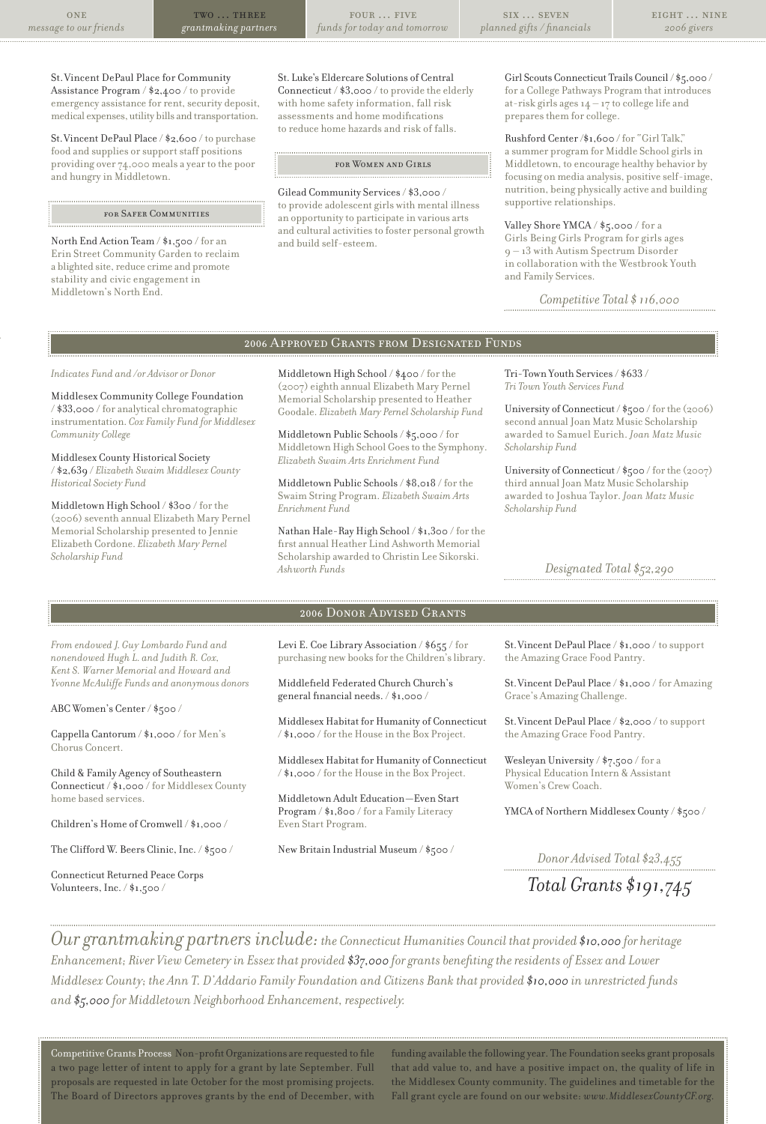four … five *funds for today and tomorrow*

St.Vincent DePaul Place for Community Assistance Program / \$2,400 / to provide emergency assistance for rent, security deposit, medical expenses, utility bills and transportation.

St. Vincent DePaul Place / \$2,600 / to purchase food and supplies or support staff positions providing over 74,000 meals a yearto the poor and hungry in Middletown.

#### for Safer Communities

North End Action Team / \$1,500 / for an Erin Street Community Garden to reclaim a blighted site, reduce crime and promote stability and civic engagement in Middletown's North End.

St. Luke's Eldercare Solutions of Central Connecticut / \$3,000 / to provide the elderly with home safety information, fall risk assessments and home modifications to reduce home hazards and risk of falls.

#### for Women and Girls

Gilead Community Services/ \$3,000 / to provide adolescent girls with mental illness an opportunity to participate in various arts and cultural activities to foster personal growth and build self-esteem.

Girl Scouts Connecticut Trails Council/ \$5,000 / for a College Pathways Program that introduces at-risk girls ages  $14 - 17$  to college life and prepares them for college.

Rushford Center/\$1,600 /for "Girl Talk," a summer program for Middle School girls in Middletown, to encourage healthy behavior by focusing on media analysis, positive self-image, nutrition, being physically active and building supportive relationships.

Valley Shore YMCA /  $\S_5, \circ \circ \circ$  / for a Girls Being Girls Program for girls ages 9 – 13 with Autism Spectrum Disorder in collaboration with the Westbrook Youth and Family Services.

*Competitive Total \$ 116,000*

# 2006 Approved Grants from Designated Funds

*Indicates Fund and /or Advisor or Donor*

Middlesex Community College Foundation / \$33,000 / for analytical chromatographic instrumentation. *Cox Family Fund for Middlesex Community College*

Middlesex County Historical Society / \$2,639 / *Elizabeth Swaim Middlesex County Historical Society Fund*

Middletown High School / \$300 / forthe (2006) seventh annual Elizabeth Mary Pernel Memorial Scholarship presented to Jennie Elizabeth Cordone. *Elizabeth Mary Pernel Scholarship Fund*

*From endowed J. Guy Lombardo Fund and nonendowed Hugh L. and Judith R. Cox, Kent S. Warner Memorial and Howard and Yvonne McAuliffe Funds and anonymous donors*

Cappella Cantorum / \$1,000 / for Men's

Child & Family Agency of Southeastern Connecticut / \$1,000 / for Middlesex County

Children's Home of Cromwell / \$1,000 / The Clifford W. Beers Clinic, Inc. / \$500 /

Connecticut Returned Peace Corps Volunteers, Inc. / \$1,500 /

ABC Women's Center/ \$500 /

Chorus Concert.

home based services.

Middletown High School / \$400 / forthe (2007) eighth annual Elizabeth Mary Pernel Memorial Scholarship presented to Heather Goodale. *Elizabeth Mary Pernel Scholarship Fund*

Middletown Public Schools/ \$5,000 / for Middletown High School Goes to the Symphony. *Elizabeth Swaim Arts Enrichment Fund*

Middletown Public Schools/ \$8,018 / forthe Swaim String Program. *Elizabeth Swaim Arts Enrichment Fund*

Nathan Hale-Ray High School / \$1,300 / forthe first annual Heather Lind Ashworth Memorial Scholarship awarded to Christin Lee Sikorski. *Ashworth Funds*

Tri-Town Youth Services/ \$633 / *Tri Town Youth Services Fund*

University of Connecticut / \$500 / for the (2006) second annual Joan Matz Music Scholarship awarded to Samuel Eurich. *Joan Matz Music Scholarship Fund*

University of Connecticut / \$500 / for the (2007) third annual Joan Matz Music Scholarship awarded to Joshua Taylor. *Joan Matz Music Scholarship Fund*

*Designated Total \$52,290*

## 2006 Donor Advised Grants

Levi E. Coe Library Association / \$655 / for purchasing new books for the Children's library.

Middlefield Federated Church Church's general financial needs. / \$1,000 /

Middlesex Habitat for Humanity of Connecticut / \$1,000 / forthe House in the Box Project.

Middlesex Habitat for Humanity of Connecticut / \$1,000 / forthe House in the Box Project.

Middletown Adult Education —Even Start Program / \$1,800 / for a Family Literacy Even Start Program.

New Britain Industrial Museum / \$500 /

St.Vincent DePaul Place / \$1,000 / to support the Amazing Grace Food Pantry.

St.Vincent DePaul Place / \$1,000 / for Amazing Grace's Amazing Challenge.

St.Vincent DePaul Place / \$2,000 / to support the Amazing Grace Food Pantry.

Wesleyan University / \$7,500 / for a Physical Education Intern & Assistant Women's Crew Coach.

YMCA of Northern Middlesex County / \$500 /

*Donor Advised Total \$23,455*

*Total Grants \$191,745*

*Ourgrantmaking partners include: the Connecticut Humanities Council that provided \$10,000 for heritage Enhancement; River View Cemetery in Essex that provided \$37,000 forgrants benefitingtheresidents of Essex and Lower* Middlesex County; the Ann T. D'Addario Family Foundation and Citizens Bank that provided \$10,000 in unrestricted funds *and \$5,000 for Middletown Neighborhood Enhancement, respectively.*

CompetitiveGrants Process Non-profitOrganizations are requested to file a two page letter of intent to apply for a grant by late September. Full proposals are requested in late October for the most promising projects. The Board of Directors approves grants by the end of December, with

funding available the following year. The Foundation seeks grant proposals that add value to, and have a positive impact on, the quality of life in the Middlesex County community. The guidelines and timetable for the Fall grant cycle are found on our website: *www.MiddlesexCountyCF.org.*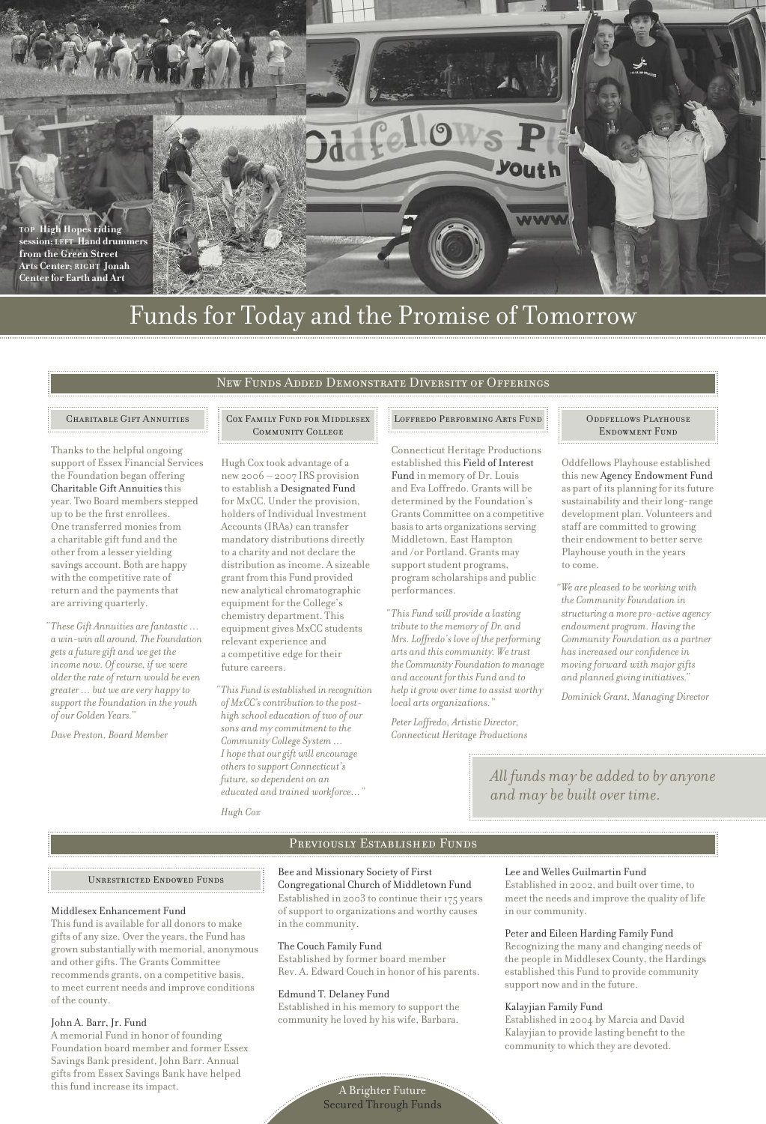

# Funds for Today and the Promise of Tomorrow

# New Funds Added Demonstrate Diversity of Offerings

Thanks to the helpful ongoing support of Essex Financial Services the Foundation began offering Charitable Gift Annuities this year. Two Board members stepped up to be the first enrollees. One transferred moniesfrom a charitable gift fund and the otherfrom a lesser yielding savings account. Both are happy with the competitive rate of return and the payments that are arriving quarterly.

*These Gift Annuities arefantastic … " awin-win all around. The Foundation gets a futuregift and weget the*  $\phi$ *income* now. Of course, if we were  $\delta$ *older* the rate of return would be even *greater … but we arevery happy to support the Foundation in the youth of our Golden Years."*

*Dave Preston, Board Member*

#### CHARITABLE GIFT ANNUITIES COX FAMILY FUND FOR MIDDLESEX Community College

Hugh Cox took advantage of a new 2006 – 2007 IRS provision to establish a Designated Fund for MxCC. Under the provision, holders of Individual Investment Accounts(IRAs) can transfer mandatory distributions directly to a charity and not declare the distribution asincome. A sizeable grant from this Fund provided new analytical chromatographic equipment forthe College's chemistry department. This equipment gives MxCC students relevant experience and a competitive edge fortheir future careers.

*This Fund isestablished in recognition " of MxCC'scontribution to the posthigh schooleducation of two of our sons and my commitment to the Community College System … I hopethat ourgift willencourage others to support Connecticut's future, so dependent on an educated and trained workforce…"*

*Hugh Cox*

Connecticut Heritage Productions established this Field of Interest Fund in memory of Dr. Louis and Eva Loffredo. Grants will be determined by the Foundation's Grants Committee on a competitive basis to arts organizations serving Middletown, East Hampton and /or Portland. Grants may support student programs, program scholarships and public performances.

*This Fund will provide a lasting " tribute to the memory of Dr.* and *Mrs. Loffredo's love of the performing arts and thiscommunity. Wetrust the Community Foundation to manage and account for this Fund and to help itgrow over timeto assist worthy local arts organizations."*

*Peter Loffredo, Artistic Director, Connecticut Heritage Productions*

#### Loffredo Performing Arts Fund Oddfellows Playhouse ENDOWMENT FUND

Oddfellows Playhouse established this new Agency Endowment Fund as part of its planning for its future sustainability and their long-range development plan. Volunteers and staff are committed to growing their endowment to better serve Playhouse youth in the years to come.

*We are pleased to be working with " the Community Foundation in structuring a more pro-active agency*  $endowment$ *program.* Having the *Community Foundation as a partner has increased ourconfidencein moving forward with major gifts and planned givinginitiatives."*

*Dominick Grant, Managing Director*

*All funds may be added to by anyone and may be built over time.*

#### Previously Established Funds

Unrestricted Endowed Funds

#### Middlesex Enhancement Fund

This fund is available for all donors to make gifts of any size. Overthe years, the Fund has grown substantially with memorial, anonymous and other gifts. The Grants Committee recommends grants, on a competitive basis, to meet current needs and improve conditions of the county.

#### John A. Barr, Jr. Fund

A memorial Fund in honor of founding Foundation board member and former Essex Savings Bank president, John Barr. Annual gifts from Essex Savings Bank have helped this fund increase its impact.

### Bee and Missionary Society of First

Congregational Church of Middletown Fund Established in 2003 to continue their 175 years ofsupport to organizations and worthy causes in the community.

#### The Couch Family Fund

Established by former board member Rev. A. Edward Couch in honor of his parents.

#### Edmund T. Delaney Fund

Established in his memory to support the community he loved by his wife, Barbara.

#### Lee and Welles Guilmartin Fund

Established in 2002, and built overtime, to meet the needs and improve the quality of life in our community.

### Peter and Eileen Harding Family Fund

Recognizing the many and changing needs of the people in Middlesex County, the Hardings established this Fund to provide community support now and in the future.

#### Kalayjian Family Fund

Established in 2004 by Marcia and David Kalayjian to provide lasting benefit to the community to which they are devoted.

A Brighter Future Secured Through Funds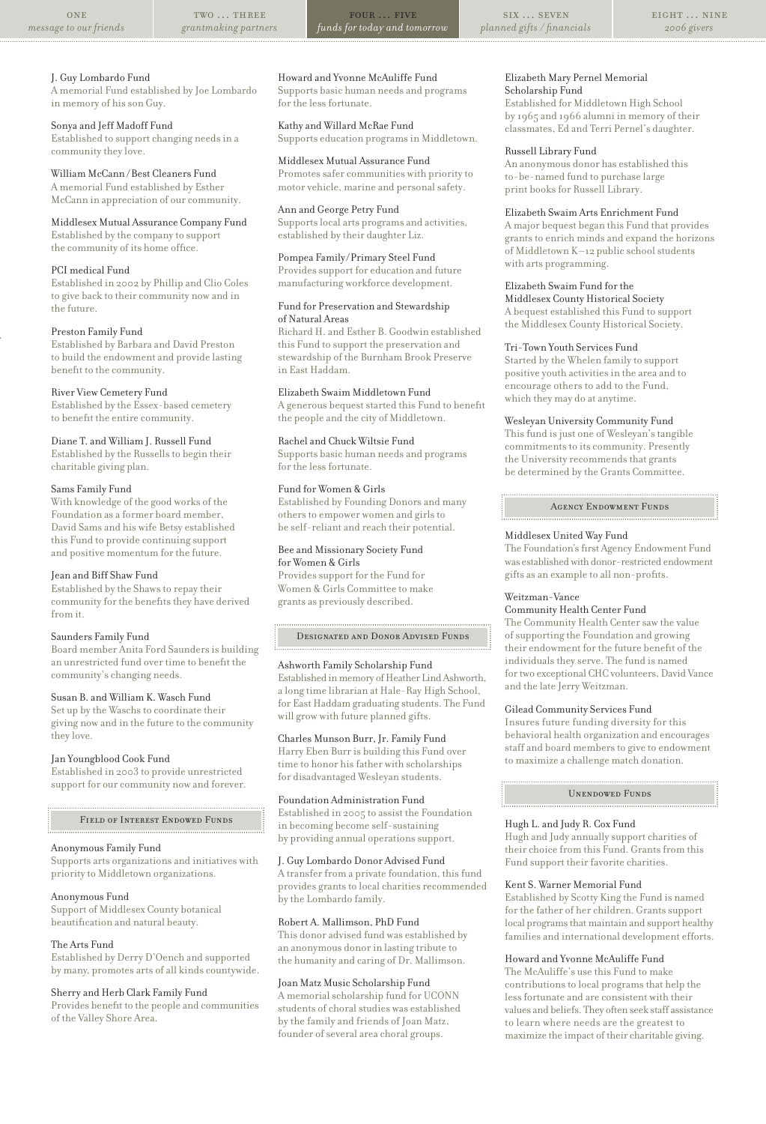#### two … three *grantmaking partners*

four … five *funds for today and tomorrow*

six … seven *planned gifts / financials*

#### J. Guy Lombardo Fund

A memorial Fund established by Joe Lombardo in memory of hisson Guy.

#### Sonya and Jeff Madoff Fund

Established to support changing needsin a community they love.

#### William McCann /Best Cleaners Fund A memorial Fund established by Esther McCann in appreciation of our community.

Middlesex Mutual Assurance Company Fund Established by the company to support

the community of its home office.

### PCI medical Fund

Established in 2002 by Phillip and Clio Coles to give back to their community now and in the future.

#### Preston Family Fund

Established by Barbara and David Preston to build the endowment and provide lasting benefit to the community.

#### River View Cemetery Fund

Established by the Essex-based cemetery to benefit the entire community.

#### Diane T. and William J. Russell Fund

Established by the Russells to begin their charitable giving plan.

#### Sams Family Fund

With knowledge of the good works of the Foundation as a former board member, David Sams and his wife Betsy established this Fund to provide continuing support and positive momentum for the future.

#### Jean and Biff Shaw Fund

Established by the Shawsto repay their community for the benefits they have derived from it.

#### Saunders Family Fund

Board member Anita Ford Saundersis building an unrestricted fund over time to benefit the community's changing needs.

### Susan B. and William K. Wasch Fund

Set up by the Waschs to coordinate their giving now and in the future to the community they love.

#### Jan Youngblood Cook Fund

Established in 2003 to provide unrestricted support for our community now and forever.

#### Field of Interest Endowed Funds

#### Anonymous Family Fund

Supports arts organizations and initiatives with priority to Middletown organizations.

#### Anonymous Fund

Support of Middlesex County botanical beautification and natural beauty.

#### The Arts Fund

Established by Derry D'Oench and supported by many, promotes arts of all kinds countywide.

### Sherry and Herb Clark Family Fund

Provides benefit to the people and communities of the Valley Shore Area.

# Howard and Yvonne McAuliffe Fund

Supports basic human needs and programs for the less fortunate.

Kathy and Willard McRae Fund Supports education programs in Middletown.

Middlesex Mutual Assurance Fund Promotes safer communities with priority to motor vehicle, marine and personal safety.

Ann and George Petry Fund Supports local arts programs and activities, established by their daughter Liz.

# Pompea Family/Primary Steel Fund

Provides support for education and future manufacturing workforce development.

#### Fund for Preservation and Stewardship of Natural Areas

Richard H. and Esther B. Goodwin established this Fund to support the preservation and stewardship of the Burnham Brook Preserve in East Haddam.

Elizabeth Swaim Middletown Fund

A generous bequest started this Fund to benefit the people and the city of Middletown.

#### Rachel and Chuck Wiltsie Fund

Supports basic human needs and programs for the less fortunate.

### Fund for Women & Girls

Established by Founding Donors and many others to empower women and girls to be self-reliant and reach their potential.

# Bee and Missionary Society Fund

for Women & Girls Provides support for the Fund for Women & Girls Committee to make grants as previously described.

#### Designated and Donor Advised Funds

#### Ashworth Family Scholarship Fund

Established in memory of Heather Lind Ashworth, a long time librarian at Hale-Ray High School, for East Haddam graduating students. The Fund will grow with future planned gifts.

#### Charles Munson Burr, Jr. Family Fund

Harry Eben Burris building this Fund over time to honor hisfather with scholarships for disadvantaged Wesleyan students.

#### Foundation Administration Fund

Established in 2005 to assist the Foundation in becoming become self-sustaining by providing annual operations support.

#### J. Guy Lombardo Donor Advised Fund

A transfer from a private foundation, this fund provides grants to local charities recommended by the Lombardo family.

#### Robert A. Mallimson, PhD Fund

This donor advised fund was established by an anonymous donor in lasting tribute to the humanity and caring of Dr. Mallimson.

#### Joan Matz Music Scholarship Fund

A memorialscholarship fund for UCONN students of choral studies was established by the family and friends of Joan Matz, founder of several area choral groups.

#### Elizabeth Mary Pernel Memorial Scholarship Fund

Established for Middletown High School by 1965 and 1966 alumni in memory of their classmates, Ed and Terri Pernel's daughter.

#### Russell Library Fund

An anonymous donor has established this to-be-named fund to purchase large print booksfor Russell Library.

#### Elizabeth Swaim Arts Enrichment Fund

A major bequest began this Fund that provides grants to enrich minds and expand the horizons of Middletown K-12 public school students with arts programming.

#### Elizabeth Swaim Fund forthe

Middlesex County Historical Society A bequest established this Fund to support the Middlesex County Historical Society.

#### Tri-Town Youth Services Fund

Started by the Whelen family to support positive youth activities in the area and to encourage others to add to the Fund, which they may do at anytime.

#### Wesleyan University Community Fund

This fund is just one of Wesleyan's tangible commitments to its community. Presently the University recommends that grants be determined by the Grants Committee.

#### Agency Endowment Funds

#### Middlesex United Way Fund

The Foundation's first Agency Endowment Fund was established with donor-restricted endowment gifts as an example to all non-profits.

# Weitzman-Vance

Community Health Center Fund The Community Health Center saw the value of supporting the Foundation and growing their endowment forthe future benefit of the individuals they serve. The fund is named for two exceptional CHC volunteers, David Vance

# Gilead Community Services Fund

and the late Jerry Weitzman.

Insures future funding diversity for this behavioral health organization and encourages staff and board members to give to endowment to maximize a challenge match donation.

Unendowed Funds

#### Hugh L. and Judy R. Cox Fund

Hugh and Judy annually support charities of their choice from this Fund. Grants from this Fund support their favorite charities.

#### Kent S. Warner Memorial Fund

Established by Scotty King the Fund is named for the father of her children. Grants support local programs that maintain and support healthy families and international development efforts.

# Howard and Yvonne McAuliffe Fund

The McAuliffe's use this Fund to make contributions to local programs that help the lessfortunate and are consistent with their values and beliefs. They often seek staff assistance to learn where needs are the greatest to maximize the impact of their charitable giving.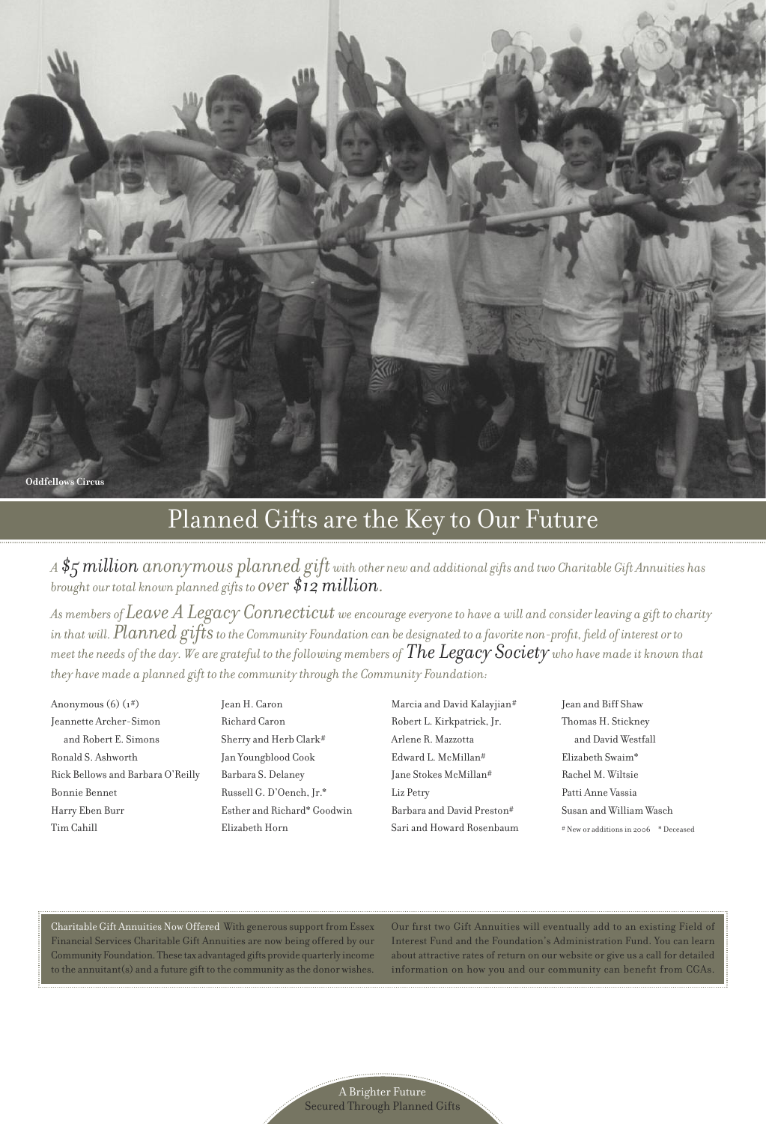

# Planned Gifts are the Key to Our Future

A  $\frac{4}{5}$  million anonymous planned gift with other new and additional gifts and two Charitable Gift Annuities has *brought our total known planned gifts to over \$12 million.*

 $\emph{As members of} \emph{Leave} \emph{A} \emph{Legacy} \emph{Connecticut} \emph{we encourage everyone to have a will and consider leaving a gift to charity.}$ in that will.  $Planned$   $g$ ifts to the Community Foundation can be designated to a favorite non-profit, field of interest or to meet the needs of the day. We are grateful to the following members of  $The \, Legacy \, Society$  who have made it known that *they have made a planned gift to thecommunity through the Community Foundation:*

Anonymous(6) (1#) Jeannette Archer-Simon and Robert E. Simons Ronald S. Ashworth Rick Bellows and Barbara O'Reilly Bonnie Bennet Harry Eben Burr Tim Cahill

Jean H. Caron Richard Caron Sherry and Herb Clark# Jan Youngblood Cook Barbara S. Delaney Russell G. D'Oench, Jr.\* Esther and Richard\* Goodwin Elizabeth Horn

Marcia and David Kalayjian# Robert L. Kirkpatrick, Jr. Arlene R. Mazzotta Edward L. McMillan# Jane Stokes McMillan# Liz Petry Barbara and David Preston# Sari and Howard Rosenbaum Jean and Biff Shaw Thomas H. Stickney and David Westfall Elizabeth Swaim\* Rachel M. Wiltsie Patti Anne Vassia Susan and William Wasch # New or additionsin 2006 \* Deceased

Charitable Gift Annuities Now Offered With generoussupport from Essex Financial Services Charitable Gift Annuities are now being offered by our Community Foundation. These tax advantaged gifts provide quarterly income to the annuitant(s) and a future gift to the community asthe donor wishes. Our first two Gift Annuities will eventually add to an existing Field of Interest Fund and the Foundation's Administration Fund. You can learn about attractive rates of return on our website or give us a call for detailed information on how you and our community can benefit from CGAs.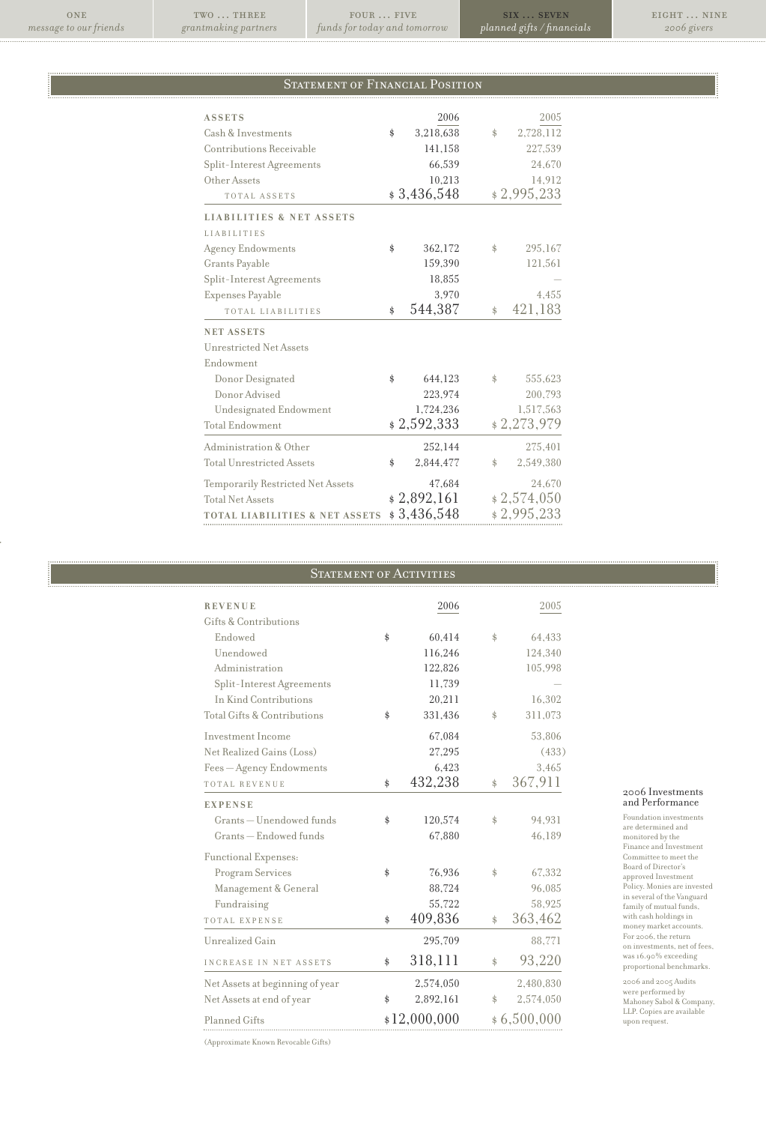**ONE** *message to our friends*

 $\mathbf{TWO}$   $\ldots$  THREE *grantmaking partners*

 $FOUR$  … FIVE *funds for today and tomorrow*

six … seven *planned gifts / financials*

eight … nine *2006 givers*

# STATEMENT OF FINANCIAL POSITION

| <b>ASSETS</b>                             | 2006            |            | 2005        |
|-------------------------------------------|-----------------|------------|-------------|
| Cash & Investments                        | \$<br>3,218,638 | \$         | 2,728,112   |
| Contributions Receivable                  | 141,158         |            | 227,539     |
| Split-Interest Agreements                 | 66,539          |            | 24,670      |
| Other Assets                              | 10,213          |            | 14,912      |
| TOTAL ASSETS                              | \$3,436,548     |            | \$2,995,233 |
| <b>LIABILITIES &amp; NET ASSETS</b>       |                 |            |             |
| <b>LIABILITIES</b>                        |                 |            |             |
| Agency Endowments                         | \$<br>362,172   | \$         | 295,167     |
| Grants Payable                            | 159,390         |            | 121,561     |
| Split-Interest Agreements                 | 18,855          |            |             |
| Expenses Payable                          | 3.970           |            | 4.455       |
| TOTAL LIABILITIES                         | \$<br>544,387   | \$         | 421,183     |
| <b>NET ASSETS</b>                         |                 |            |             |
| Unrestricted Net Assets                   |                 |            |             |
| Endowment                                 |                 |            |             |
| Donor Designated                          | \$<br>644,123   | \$.        | 555,623     |
| Donor Advised                             | 223,974         |            | 200,793     |
| Undesignated Endowment                    | 1,724,236       |            | 1,517,563   |
| <b>Total Endowment</b>                    | \$2,592,333     |            | \$2,273,979 |
| Administration & Other                    | 252,144         |            | 275,401     |
| <b>Total Unrestricted Assets</b>          | \$<br>2,844,477 | $^{\circ}$ | 2,549,380   |
| Temporarily Restricted Net Assets         | 47,684          |            | 24.670      |
| <b>Total Net Assets</b>                   | \$2,892,161     |            | \$2,574,050 |
| <b>TOTAL LIABILITIES &amp; NET ASSETS</b> | \$3,436,548     |            | \$2,995,233 |

# STATEMENT OF ACTIVITIES

| <b>REVENUE</b>                  | 2006                        |    | 2005      |
|---------------------------------|-----------------------------|----|-----------|
| Gifts & Contributions           |                             |    |           |
| Endowed                         | \$<br>60,414                | \$ | 64,433    |
| Unendowed                       | 116,246                     |    | 124,340   |
| Administration                  | 122,826                     |    | 105,998   |
| Split-Interest Agreements       | 11,739                      |    |           |
| In Kind Contributions           | 20,211                      |    | 16,302    |
| Total Gifts & Contributions     | \$<br>331,436               | \$ | 311,073   |
| Investment Income               | 67,084                      |    | 53,806    |
| Net Realized Gains (Loss)       | 27,295                      |    | (433)     |
| Fees - Agency Endowments        | 6,423                       |    | 3,465     |
| TOTAL REVENUE                   | \$<br>432,238               | \$ | 367,911   |
| <b>EXPENSE</b>                  |                             |    |           |
| Grants - Unendowed funds        | \$<br>120,574               | \$ | 94,931    |
| Grants - Endowed funds          | 67,880                      |    | 46,189    |
| Functional Expenses:            |                             |    |           |
| <b>Program Services</b>         | \$<br>76,936                | \$ | 67,332    |
| Management & General            | 88,724                      |    | 96,085    |
| Fundraising                     | 55,722                      |    | 58.925    |
| TOTAL EXPENSE                   | \$<br>409,836               | \$ | 363,462   |
| Unrealized Gain                 | 295,709                     |    | 88,771    |
| INCREASE IN NET ASSETS          | \$<br>318,111               | \$ | 93,220    |
| Net Assets at beginning of year | 2,574,050                   |    | 2,480,830 |
| Net Assets at end of year       | \$<br>2,892,161             | \$ | 2,574,050 |
| Planned Gifts                   | \$12,000,000<br>\$6,500,000 |    |           |

# <sup>2006</sup> Investments and Performance

Foundation investments are determined and monitored by the Finance and Investment Committee to meet the Board of Director's approved Investment Policy. Monies are invested in several of the Vanguard family of mutual funds, with cash holdings in<br>money market accounts.<br>For 2006, the return on investments, net of fees, was16.90% exceeding proportional benchmarks.

2006 and 2005 Audits were performed by Mahoney Sabol & Company, LLP. Copies are available upon request.

(Approximate Known Revocable Gifts)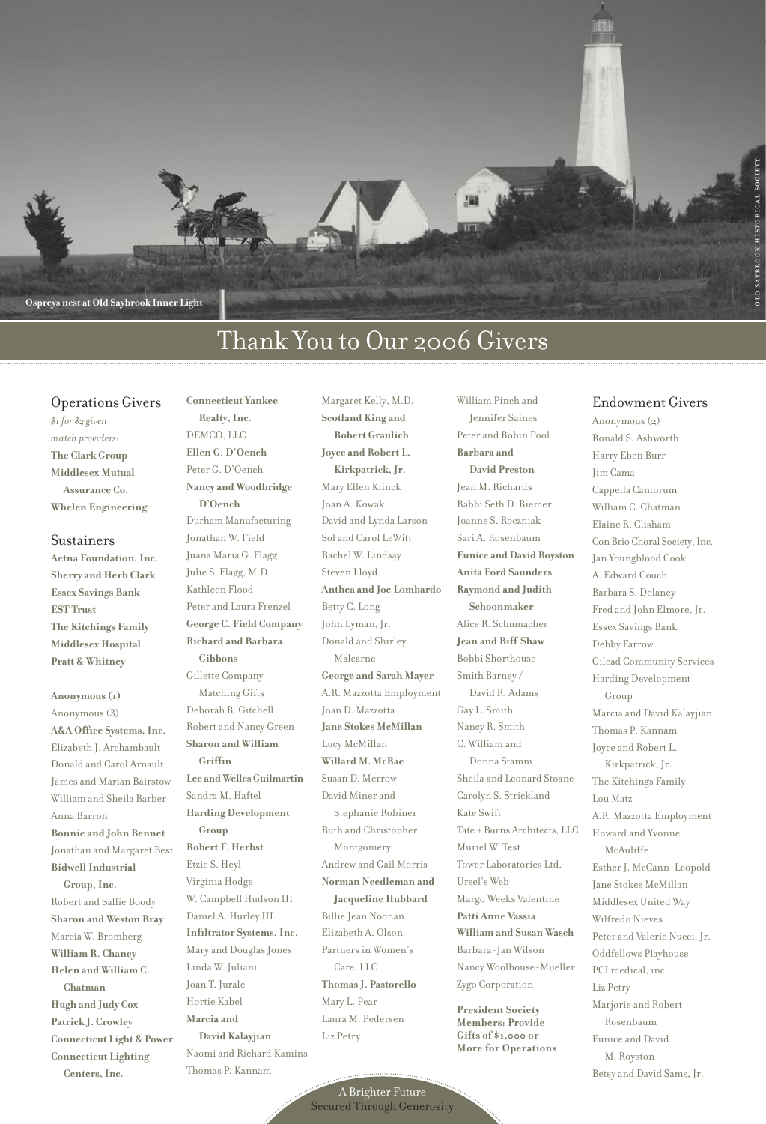

# Thank You to Our 2006 Givers

# Operations Givers

*\$1 for \$2 given match providers:* **The Clark Group Middlesex Mutual Assurance Co. Whelen Engineering**

#### Sustainers

**Aetna Foundation,Inc. Sherry and Herb Clark Essex Savings Bank EST Trust The Kitchings Family Middlesex Hospital Pratt & Whitney**

**Anonymous(1)** Anonymous(3) **A&A Office Systems,Inc.** Elizabeth J. Archambault Donald and Carol Arnault James and Marian Bairstow William and Sheila Barber Anna Barron **Bonnie and John Bennet** Jonathan and Margaret Best **BidwellIndustrial Group,Inc.** Robert and Sallie Boody **Sharon and Weston Bray** Marcia W. Bromberg **William R. Chaney Helen and William C. Chatman Hugh and Judy Cox Patrick J. Crowley Connecticut Light & Power Connecticut Lighting Centers,Inc.**

**Ellen G. D'Oench** Peter G. D'Oench **Nancy and Woodbridge D'Oench** Durham Manufacturing Jonathan W. Field Juana Maria G. Flagg Julie S. Flagg, M.D. Kathleen Flood Peter and Laura Frenzel **George C. Field Company Richard and Barbara Gibbons** Gillette Company Matching Gifts Deborah R. Gitchell Robert and Nancy Green **Sharon and William Griffin Lee and WellesGuilmartin** Sandra M. Haftel **Harding Development Group Robert F. Herbst** Etzie S. Heyl Virginia Hodge W. Campbell Hudson III Daniel A. Hurley III **Infiltrator Systems,Inc.** Mary and Douglas Jones Linda W. Juliani Joan T. Jurale Hortie Kabel **Marcia and David Kalayjian** Naomi and Richard Kamins Thomas P. Kannam

**Connecticut Yankee Realty,Inc.** DEMCO, LLC

Margaret Kelly, M.D. **Scotland King and Robert Graulich Joyce and Robert L. Kirkpatrick,Jr.** Mary Ellen Klinck Joan A. Kowak David and Lynda Larson Sol and Carol LeWitt Rachel W. Lindsay Steven Lloyd **Anthea and Joe Lombardo** Betty C. Long John Lyman, Jr. Donald and Shirley Malcarne **George and Sarah Mayer** A.R. Mazzotta Employment Joan D. Mazzotta **Jane Stokes McMillan** Lucy McMillan **Willard M.McRae** Susan D. Merrow David Miner and Stephanie Robiner Ruth and Christopher Montgomery Andrew and Gail Morris **Norman Needleman and Jacqueline Hubbard** Billie Jean Noonan Elizabeth A. Olson Partnersin Women's Care, LLC **ThomasJ. Pastorello** Mary L. Pear Laura M. Pedersen Liz Petry

William Pinch and Jennifer Saines Peter and Robin Pool **Barbara and David Preston** Jean M. Richards Rabbi Seth D. Riemer Joanne S. Roczniak Sari A. Rosenbaum **Eunice and David Royston Anita Ford Saunders Raymond and Judith Schoonmaker** Alice R. Schumacher **Jean and Biff Shaw** Bobbi Shorthouse Smith Barney / David R. Adams Gay L. Smith Nancy R. Smith C. William and Donna Stamm Sheila and Leonard Stoane Carolyn S. Strickland Kate Swift Tate + Burns Architects, LLC Muriel W. Test Tower Laboratories Ltd. Ursel's Web Margo Weeks Valentine **Patti Anne Vassia William and Susan Wasch** Barbara-Jan Wilson Nancy Woolhouse-Mueller Zygo Corporation

**President Society Members: Provide Gifts of \$1,000 or More for Operations**

#### Endowment Givers

Anonymous $(2)$ Ronald S. Ashworth Harry Eben Burr Jim Cama Cappella Cantorum William C. Chatman Elaine R. Clisham Con Brio Choral Society,Inc. Jan Youngblood Cook A. Edward Couch Barbara S. Delaney Fred and John Elmore, Jr. Essex Savings Bank Debby Farrow Gilead Community Services Harding Development Group Marcia and David Kalayjian Thomas P. Kannam Joyce and Robert L. Kirkpatrick, Jr. The Kitchings Family Lou Matz A.R. Mazzotta Employment Howard and Yvonne McAuliffe EstherJ. McCann-Leopold Jane Stokes McMillan Middlesex United Way Wilfredo Nieves Peter and Valerie Nucci, Jr. Oddfellows Playhouse PCI medical, inc. Liz Petry Marjorie and Robert Rosenbaum Eunice and David M. Royston Betsy and David Sams, Jr.

A Brighter Future Secured Through Generosity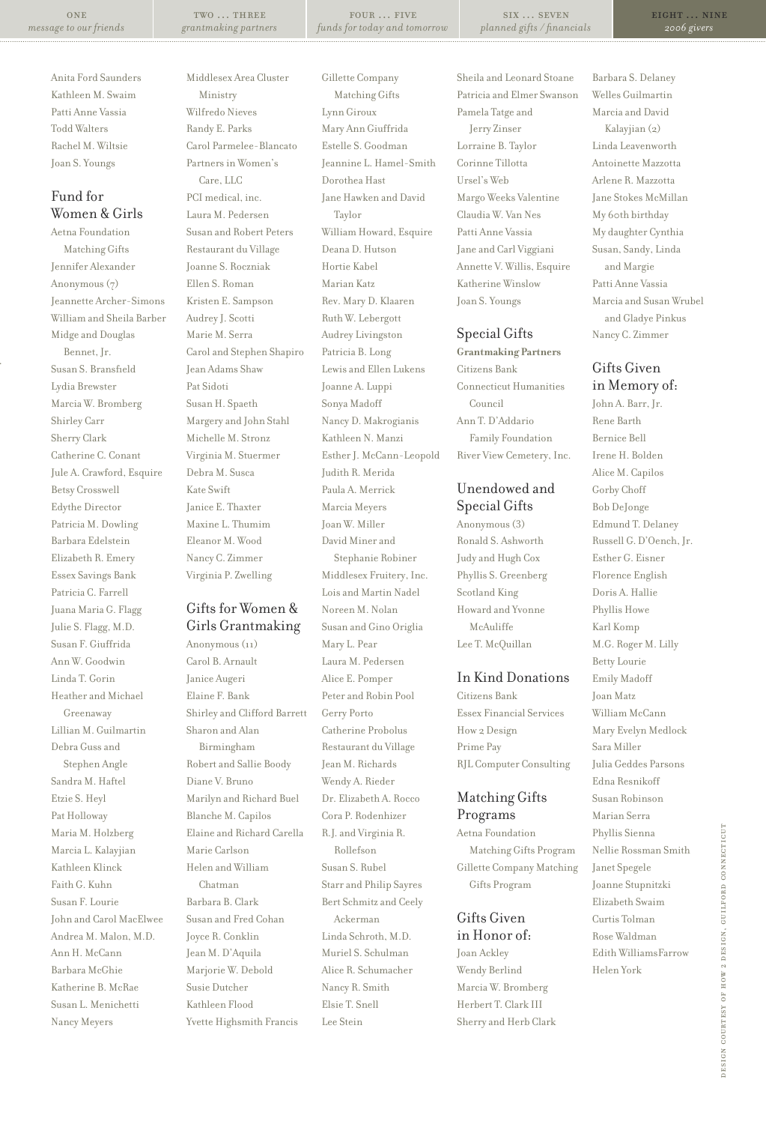two … three *grantmaking partners*

four … five *funds for today and tomorrow*

six … seven *planned gifts / financials* eight … nine *2006 givers*

Anita Ford Saunders Kathleen M. Swaim Patti Anne Vassia Todd Walters Rachel M. Wiltsie Joan S. Youngs

# Fund for Women & Girls

Aetna Foundation Matching Gifts Jennifer Alexander Anonymous(7) Jeannette Archer-Simons William and Sheila Barber Midge and Douglas Bennet, Jr. Susan S. Bransfield Lydia Brewster Marcia W. Bromberg Shirley Carr Sherry Clark Catherine C. Conant Jule A. Crawford, Esquire Betsy Crosswell Edythe Director Patricia M. Dowling Barbara Edelstein Elizabeth R. Emery Essex Savings Bank Patricia C. Farrell Juana Maria G. Flagg Julie S. Flagg, M.D. Susan F. Giuffrida Ann W. Goodwin Linda T. Gorin Heather and Michael Greenaway Lillian M. Guilmartin Debra Guss and Stephen Angle Sandra M. Haftel Etzie S. Heyl Pat Holloway Maria M. Holzberg Marcia L. Kalayjian Kathleen Klinck Faith G. Kuhn Susan F. Lourie John and Carol MacElwee Andrea M. Malon, M.D. Ann H. McCann Barbara McGhie Katherine B. McRae Susan L. Menichetti Nancy Meyers

Middlesex Area Cluster Ministry Wilfredo Nieves Randy E. Parks Carol Parmelee-Blancato Partners in Women's Care, LLC PCI medical, inc. Laura M. Pedersen Susan and Robert Peters Restaurant du Village Joanne S. Roczniak Ellen S. Roman Kristen E. Sampson Audrey J. Scotti Marie M. Serra Carol and Stephen Shapiro Jean Adams Shaw Pat Sidoti Susan H. Spaeth Margery and John Stahl Michelle M. Stronz Virginia M. Stuermer Debra M. Susca Kate Swift Janice E. Thaxter Maxine L. Thumim Eleanor M. Wood Nancy C. Zimmer Virginia P. Zwelling

# Gifts for Women & Girls Grantmaking

Anonymous(11) Carol B. Arnault Janice Augeri Elaine F. Bank Shirley and Clifford Barrett Sharon and Alan Birmingham Robert and Sallie Boody Diane V. Bruno Marilyn and Richard Buel Blanche M. Capilos Elaine and Richard Carella Marie Carlson Helen and William Chatman Barbara B. Clark Susan and Fred Cohan Joyce R. Conklin Jean M. D'Aquila Marjorie W. Debold Susie Dutcher Kathleen Flood Yvette Highsmith Francis

Gillette Company Matching Gifts Lynn Giroux Mary Ann Giuffrida Estelle S. Goodman Jeannine L. Hamel-Smith Dorothea Hast Jane Hawken and David Taylor William Howard, Esquire Deana D. Hutson Hortie Kabel Marian Katz Rev. Mary D. Klaaren Ruth W. Lebergott Audrey Livingston Patricia B. Long Lewis and Ellen Lukens Joanne A. Luppi Sonya Madoff Nancy D. Makrogianis Kathleen N. Manzi Esther J. McCann-Leopold Judith R. Merida Paula A. Merrick Marcia Meyers Joan W. Miller David Miner and Stephanie Robiner Middlesex Fruitery, Inc. Lois and Martin Nadel Noreen M. Nolan Susan and Gino Origlia Mary L. Pear Laura M. Pedersen Alice E. Pomper Peter and Robin Pool Gerry Porto Catherine Probolus Restaurant du Village Jean M. Richards Wendy A. Rieder Dr. Elizabeth A. Rocco

Cora P. Rodenhizer R.J. and Virginia R. Rollefson Susan S. Rubel Starr and Philip Sayres Bert Schmitz and Ceely Ackerman Linda Schroth, M.D. Muriel S. Schulman Alice R. Schumacher Nancy R. Smith Elsie T. Snell Lee Stein

Sheila and Leonard Stoane Patricia and Elmer Swanson Pamela Tatge and Jerry Zinser Lorraine B. Taylor Corinne Tillotta Ursel's Web Margo Weeks Valentine Claudia W. Van Nes Patti Anne Vassia Jane and Carl Viggiani Annette V. Willis, Esquire Katherine Winslow Joan S. Youngs

# Special Gifts

**Grantmaking Partners** Citizens Bank Connecticut Humanities Council Ann T. D'Addario Family Foundation River View Cemetery, Inc.

# Unendowed and Special Gifts

Anonymous(3) Ronald S. Ashworth Judy and Hugh Cox Phyllis S. Greenberg Scotland King Howard and Yvonne McAuliffe Lee T. McQuillan

# In Kind Donations

Citizens Bank Essex Financial Services How 2 Design Prime Pay RJL Computer Consulting

# Matching Gifts Programs

Aetna Foundation Matching Gifts Program Gillette Company Matching Gifts Program

# Gifts Given in Honor of:

Joan Ackley Wendy Berlind Marcia W. Bromberg Herbert T. Clark III Sherry and Herb Clark Barbara S. Delaney Welles Guilmartin Marcia and David Kalayjian (2) Linda Leavenworth Antoinette Mazzotta Arlene R. Mazzotta Jane Stokes McMillan My 60th birthday My daughter Cynthia Susan, Sandy, Linda and Margie Patti Anne Vassia Marcia and Susan Wrubel and Gladye Pinkus Nancy C. Zimmer

# Gifts Given in Memory of:

John A. Barr, Jr. Rene Barth Bernice Bell Irene H. Bolden Alice M. Capilos Gorby Choff Bob DeJonge Edmund T. Delaney Russell G.D'Oench, Jr. Esther G. Eisner Florence English Doris A. Hallie Phyllis Howe Karl Komp M.G. Roger M. Lilly Betty Lourie Emily Madoff Joan Matz William McCann Mary Evelyn Medlock Sara Miller Julia Geddes Parsons Edna Resnikoff Susan Robinson Marian Serra Phyllis Sienna Nellie Rossman Smith Janet Spegele Joanne Stupnitzki Elizabeth Swaim Curtis Tolman Rose Waldman Edith WilliamsFarrow Helen York